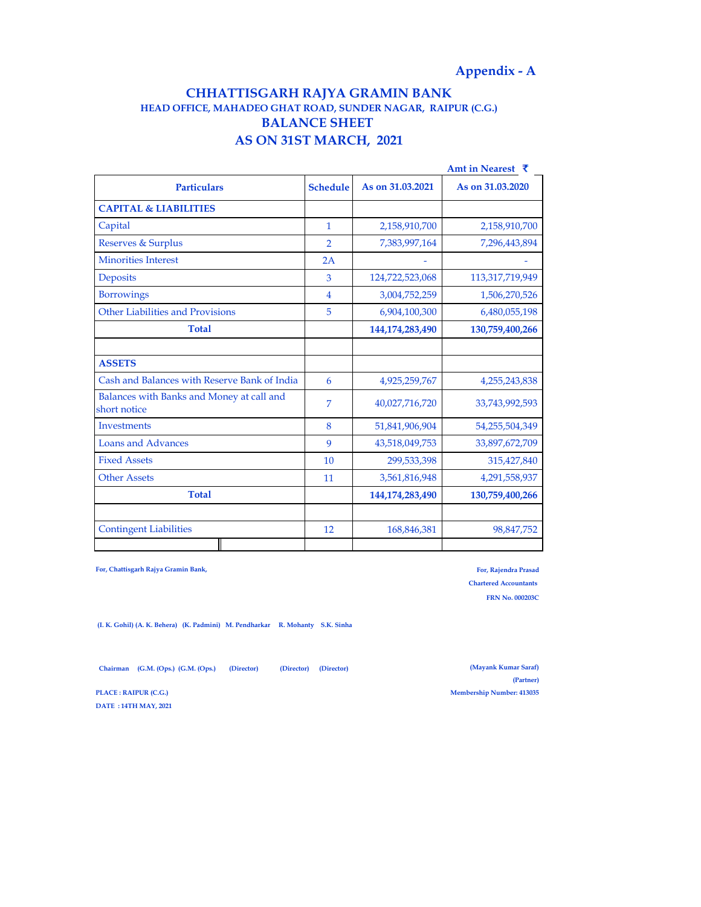# **CHHATTISGARH RAJYA GRAMIN BANK AS ON 31ST MARCH, 2021 HEAD OFFICE, MAHADEO GHAT ROAD, SUNDER NAGAR, RAIPUR (C.G.) BALANCE SHEET**

|                                                           |                 |                  | Amt in Nearest ₹ |
|-----------------------------------------------------------|-----------------|------------------|------------------|
| <b>Particulars</b>                                        | <b>Schedule</b> | As on 31,03,2021 | As on 31,03,2020 |
| <b>CAPITAL &amp; LIABILITIES</b>                          |                 |                  |                  |
| Capital                                                   | 1               | 2,158,910,700    | 2,158,910,700    |
| <b>Reserves &amp; Surplus</b>                             | $\overline{2}$  | 7,383,997,164    | 7,296,443,894    |
| <b>Minorities Interest</b>                                | 2A              |                  |                  |
| Deposits                                                  | 3               | 124,722,523,068  | 113,317,719,949  |
| <b>Borrowings</b>                                         | $\overline{4}$  | 3,004,752,259    | 1,506,270,526    |
| Other Liabilities and Provisions                          | 5               | 6,904,100,300    | 6,480,055,198    |
| <b>Total</b>                                              |                 | 144,174,283,490  | 130,759,400,266  |
|                                                           |                 |                  |                  |
| <b>ASSETS</b>                                             |                 |                  |                  |
| Cash and Balances with Reserve Bank of India              | 6               | 4,925,259,767    | 4,255,243,838    |
| Balances with Banks and Money at call and<br>short notice | 7               | 40,027,716,720   | 33,743,992,593   |
| Investments                                               | 8               | 51,841,906,904   | 54,255,504,349   |
| <b>Loans and Advances</b>                                 | 9               | 43,518,049,753   | 33,897,672,709   |
| <b>Fixed Assets</b>                                       | 10              | 299,533,398      | 315,427,840      |
| <b>Other Assets</b>                                       | 11              | 3,561,816,948    | 4,291,558,937    |
| <b>Total</b>                                              |                 | 144,174,283,490  | 130,759,400,266  |
|                                                           |                 |                  |                  |
| <b>Contingent Liabilities</b>                             | 12              | 168,846,381      | 98,847,752       |
|                                                           |                 |                  |                  |

**For, Chattisgarh Rajya Gramin Bank,** 

**For, Rajendra Prasad Chartered Accountants FRN No. 000203C**

 **(I. K. Gohil) (A. K. Behera) (K. Padmini) M. Pendharkar R. Mohanty S.K. Sinha** 

 **Chairman (G.M. (Ops.) (G.M. (Ops.) (Director) (Director) (Director)**

**DATE : 14TH MAY, 2021**

**(Mayank Kumar Saraf) (Partner) PLACE : RAIPUR (C.G.) Membership Number: 413035**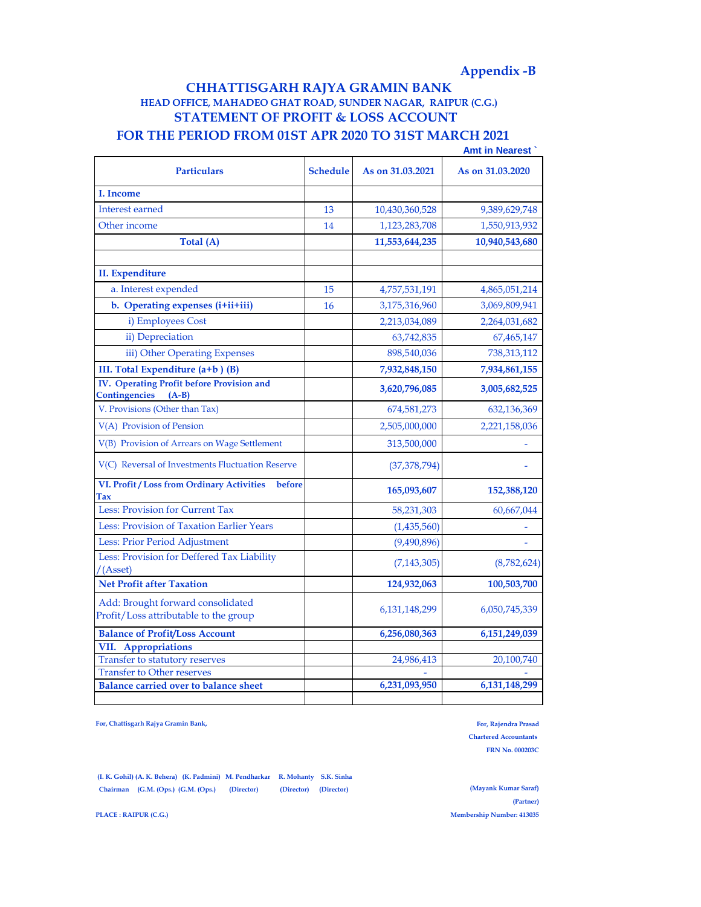# **Appendix -B**

# **FOR THE PERIOD FROM 01ST APR 2020 TO 31ST MARCH 2021 CHHATTISGARH RAJYA GRAMIN BANK HEAD OFFICE, MAHADEO GHAT ROAD, SUNDER NAGAR, RAIPUR (C.G.) STATEMENT OF PROFIT & LOSS ACCOUNT**

|                                                                              |                 |                  | <b>Amt in Nearest</b> |
|------------------------------------------------------------------------------|-----------------|------------------|-----------------------|
| <b>Particulars</b>                                                           | <b>Schedule</b> | As on 31,03,2021 | As on 31,03,2020      |
| I. Income                                                                    |                 |                  |                       |
| Interest earned                                                              | 13              | 10,430,360,528   | 9,389,629,748         |
| Other income                                                                 | 14              | 1,123,283,708    | 1,550,913,932         |
| Total (A)                                                                    |                 | 11,553,644,235   | 10,940,543,680        |
|                                                                              |                 |                  |                       |
| <b>II.</b> Expenditure                                                       |                 |                  |                       |
| a. Interest expended                                                         | 15              | 4,757,531,191    | 4,865,051,214         |
| b. Operating expenses (i+ii+iii)                                             | 16              | 3,175,316,960    | 3,069,809,941         |
| i) Employees Cost                                                            |                 | 2,213,034,089    | 2,264,031,682         |
| ii) Depreciation                                                             |                 | 63,742,835       | 67,465,147            |
| iii) Other Operating Expenses                                                |                 | 898,540,036      | 738,313,112           |
| III. Total Expenditure (a+b) (B)                                             |                 | 7,932,848,150    | 7,934,861,155         |
| IV. Operating Profit before Provision and<br><b>Contingencies</b><br>$(A-B)$ |                 | 3,620,796,085    | 3,005,682,525         |
| V. Provisions (Other than Tax)                                               |                 | 674,581,273      | 632,136,369           |
| V(A) Provision of Pension                                                    |                 | 2,505,000,000    | 2,221,158,036         |
| V(B) Provision of Arrears on Wage Settlement                                 |                 | 313,500,000      |                       |
| V(C) Reversal of Investments Fluctuation Reserve                             |                 | (37, 378, 794)   |                       |
| VI. Profit / Loss from Ordinary Activities<br>before<br>Tax                  |                 | 165,093,607      | 152,388,120           |
| Less: Provision for Current Tax                                              |                 | 58,231,303       | 60,667,044            |
| Less: Provision of Taxation Earlier Years                                    |                 | (1,435,560)      |                       |
| Less: Prior Period Adjustment                                                |                 | (9,490,896)      |                       |
| Less: Provision for Deffered Tax Liability<br>/(Asset)                       |                 | (7, 143, 305)    | (8,782,624)           |
| <b>Net Profit after Taxation</b>                                             |                 | 124,932,063      | 100,503,700           |
| Add: Brought forward consolidated<br>Profit/Loss attributable to the group   |                 | 6, 131, 148, 299 | 6,050,745,339         |
| <b>Balance of Profit/Loss Account</b>                                        |                 | 6,256,080,363    | 6,151,249,039         |
| VII. Appropriations                                                          |                 |                  |                       |
| Transfer to statutory reserves                                               |                 | 24,986,413       | 20,100,740            |
| <b>Transfer to Other reserves</b>                                            |                 |                  |                       |
| <b>Balance carried over to balance sheet</b>                                 |                 | 6,231,093,950    | 6,131,148,299         |

**For, Chattisgarh Rajya Gramin Bank,** 

**For, Rajendra Prasad Chartered Accountants FRN No. 000203C**

 **(I. K. Gohil) (A. K. Behera) (K. Padmini) M. Pendharkar R. Mohanty S.K. Sinha Chairman (G.M. (Ops.) (G.M. (Ops.) (Director) (Director) (Director)**

**(Mayank Kumar Saraf) (Partner) PLACE : RAIPUR (C.G.) Membership Number: 413035**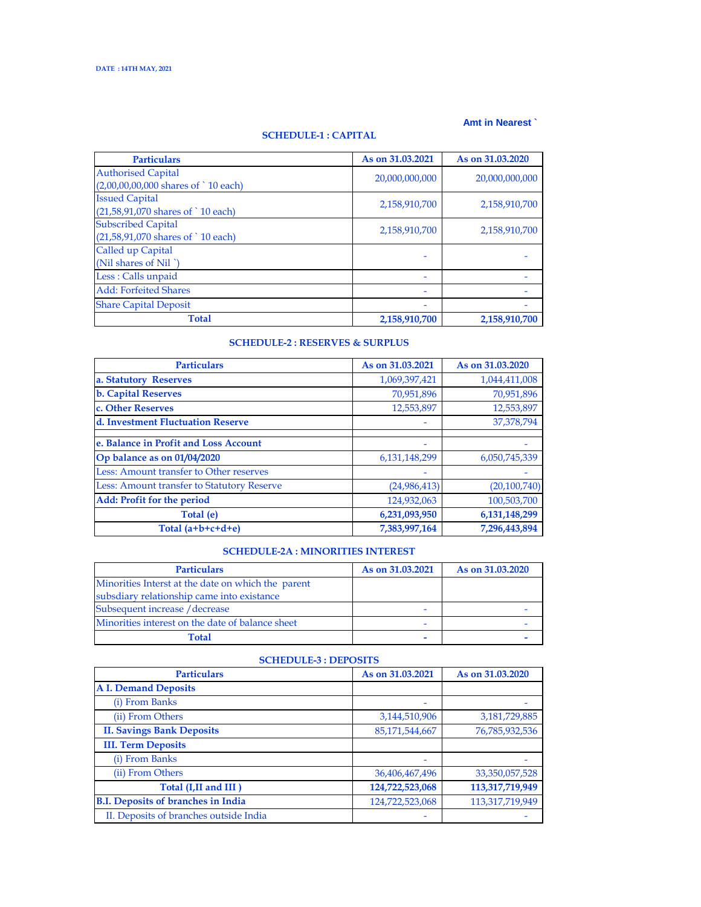### **Amt in Nearest `**

## **SCHEDULE-1 : CAPITAL**

| <b>Particulars</b>                             | As on 31,03,2021 | As on 31,03,2020 |
|------------------------------------------------|------------------|------------------|
| <b>Authorised Capital</b>                      | 20,000,000,000   | 20,000,000,000   |
| $(2,00,00,00,000$ shares of $\degree$ 10 each) |                  |                  |
| <b>Issued Capital</b>                          | 2,158,910,700    | 2,158,910,700    |
| (21,58,91,070 shares of `10 each)              |                  |                  |
| <b>Subscribed Capital</b>                      | 2,158,910,700    | 2,158,910,700    |
| (21,58,91,070 shares of `10 each)              |                  |                  |
| Called up Capital                              |                  |                  |
| (Nil shares of Nil "                           |                  |                  |
| Less: Calls unpaid                             |                  |                  |
| <b>Add: Forfeited Shares</b>                   |                  |                  |
| <b>Share Capital Deposit</b>                   |                  |                  |
| <b>Total</b>                                   | 2,158,910,700    | 2,158,910,700    |

### **SCHEDULE-2 : RESERVES & SURPLUS**

| <b>Particulars</b>                         | As on 31,03,2021 | As on 31,03,2020 |
|--------------------------------------------|------------------|------------------|
| a. Statutory Reserves                      | 1,069,397,421    | 1,044,411,008    |
| <b>b. Capital Reserves</b>                 | 70,951,896       | 70,951,896       |
| c. Other Reserves                          | 12,553,897       | 12,553,897       |
| d. Investment Fluctuation Reserve          |                  | 37,378,794       |
| e. Balance in Profit and Loss Account      |                  |                  |
| Op balance as on 01/04/2020                | 6,131,148,299    | 6,050,745,339    |
| Less: Amount transfer to Other reserves    |                  |                  |
| Less: Amount transfer to Statutory Reserve | (24, 986, 413)   | (20, 100, 740)   |
| Add: Profit for the period                 | 124,932,063      | 100,503,700      |
| Total (e)                                  | 6,231,093,950    | 6, 131, 148, 299 |
| Total $(a+b+c+d+e)$                        | 7,383,997,164    | 7,296,443,894    |

# **SCHEDULE-2A : MINORITIES INTEREST**

| <b>Particulars</b>                                 | As on 31,03,2021 | As on 31,03,2020 |
|----------------------------------------------------|------------------|------------------|
| Minorities Interst at the date on which the parent |                  |                  |
| subsdiary relationship came into existance         |                  |                  |
| Subsequent increase / decrease                     | -                |                  |
| Minorities interest on the date of balance sheet   | ۰                |                  |
| <b>Total</b>                                       |                  |                  |

| <b>Particulars</b>                        | As on 31.03.2021 | As on 31,03,2020  |
|-------------------------------------------|------------------|-------------------|
| <b>A I. Demand Deposits</b>               |                  |                   |
| (i) From Banks                            |                  |                   |
| (ii) From Others                          | 3,144,510,906    | 3,181,729,885     |
| <b>II. Savings Bank Deposits</b>          | 85,171,544,667   | 76,785,932,536    |
| <b>III. Term Deposits</b>                 |                  |                   |
| (i) From Banks                            | ۰                |                   |
| (ii) From Others                          | 36,406,467,496   | 33, 350, 057, 528 |
| Total (I, II and III)                     | 124,722,523,068  | 113,317,719,949   |
| <b>B.I. Deposits of branches in India</b> | 124,722,523,068  | 113,317,719,949   |
| II. Deposits of branches outside India    |                  |                   |

#### **SCHEDULE-3 : DEPOSITS**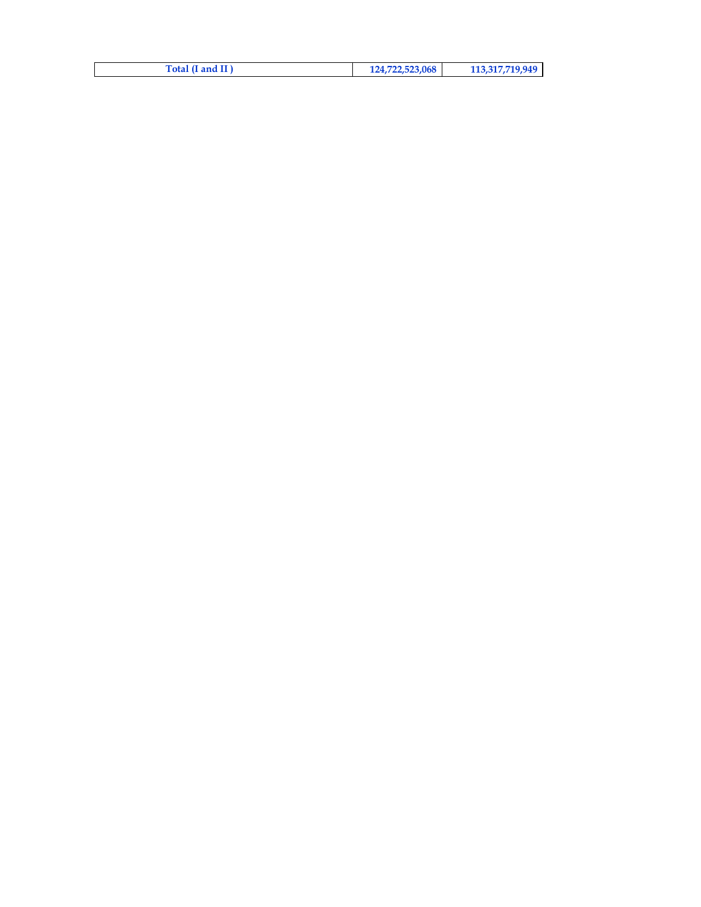| Total (I and II) | 124,722,523,068 | 113,317,719,949 |
|------------------|-----------------|-----------------|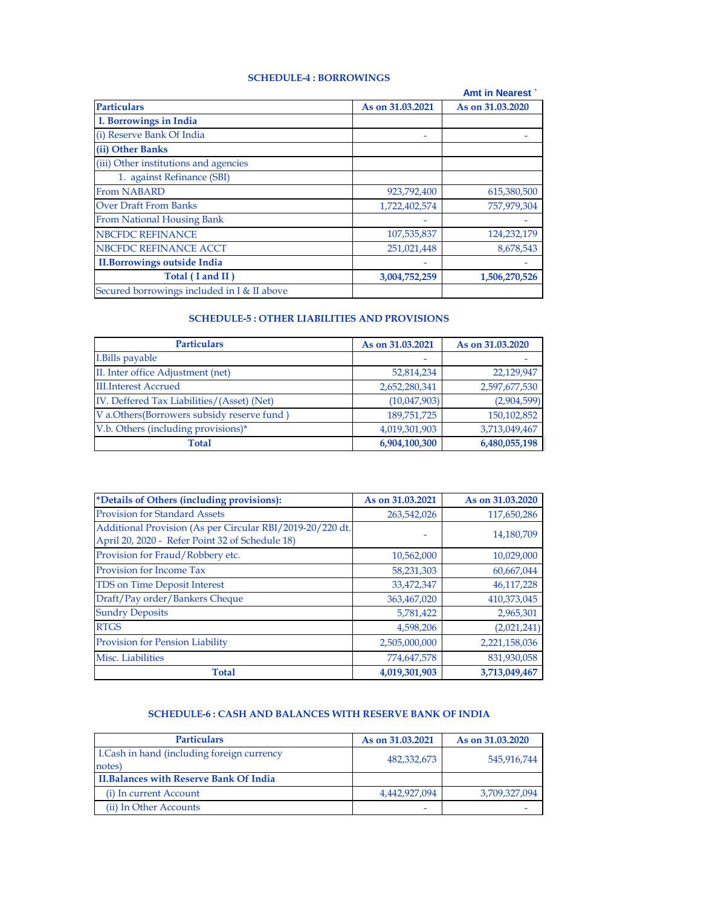## **SCHEDULE-4 : BORROWINGS**

|                                             |                  | <b>Amt in Nearest</b> |
|---------------------------------------------|------------------|-----------------------|
| <b>Particulars</b>                          | As on 31,03,2021 | As on 31,03,2020      |
| I. Borrowings in India                      |                  |                       |
| (i) Reserve Bank Of India                   |                  |                       |
| (ii) Other Banks                            |                  |                       |
| (iii) Other institutions and agencies       |                  |                       |
| 1. against Refinance (SBI)                  |                  |                       |
| <b>From NABARD</b>                          | 923,792,400      | 615,380,500           |
| <b>Over Draft From Banks</b>                | 1,722,402,574    | 757,979,304           |
| <b>From National Housing Bank</b>           |                  |                       |
| <b>NBCFDC REFINANCE</b>                     | 107,535,837      | 124,232,179           |
| NBCFDC REFINANCE ACCT                       | 251,021,448      | 8,678,543             |
| <b>II.Borrowings outside India</b>          |                  |                       |
| Total (I and II)                            | 3,004,752,259    | 1,506,270,526         |
| Secured borrowings included in I & II above |                  |                       |

# **SCHEDULE-5 : OTHER LIABILITIES AND PROVISIONS**

| <b>Particulars</b>                         | As on 31,03,2021 | As on 31,03,2020 |
|--------------------------------------------|------------------|------------------|
| I. Bills payable                           |                  |                  |
| II. Inter office Adjustment (net)          | 52,814,234       | 22,129,947       |
| <b>III.Interest Accrued</b>                | 2,652,280,341    | 2,597,677,530    |
| IV. Deffered Tax Liabilities/(Asset) (Net) | (10,047,903)     | (2,904,599)      |
| V a.Others(Borrowers subsidy reserve fund) | 189,751,725      | 150,102,852      |
| V.b. Others (including provisions)*        | 4,019,301,903    | 3,713,049,467    |
| <b>Total</b>                               | 6,904,100,300    | 6,480,055,198    |

| *Details of Others (including provisions):                                                                   | As on 31,03,2021 | As on 31,03,2020 |
|--------------------------------------------------------------------------------------------------------------|------------------|------------------|
| <b>Provision for Standard Assets</b>                                                                         | 263,542,026      | 117,650,286      |
| Additional Provision (As per Circular RBI/2019-20/220 dt.<br>April 20, 2020 - Refer Point 32 of Schedule 18) |                  | 14,180,709       |
| Provision for Fraud/Robbery etc.                                                                             | 10,562,000       | 10,029,000       |
| <b>Provision for Income Tax</b>                                                                              | 58,231,303       | 60,667,044       |
| <b>TDS on Time Deposit Interest</b>                                                                          | 33,472,347       | 46,117,228       |
| Draft/Pay order/Bankers Cheque                                                                               | 363,467,020      | 410,373,045      |
| <b>Sundry Deposits</b>                                                                                       | 5,781,422        | 2,965,301        |
| <b>RTGS</b>                                                                                                  | 4,598,206        | (2,021,241)      |
| <b>Provision for Pension Liability</b>                                                                       | 2,505,000,000    | 2,221,158,036    |
| Misc. Liabilities                                                                                            | 774,647,578      | 831,930,058      |
| <b>Total</b>                                                                                                 | 4,019,301,903    | 3,713,049,467    |

### **SCHEDULE-6 : CASH AND BALANCES WITH RESERVE BANK OF INDIA**

| <b>Particulars</b>                                    | As on 31,03,2021 | As on 31,03,2020 |
|-------------------------------------------------------|------------------|------------------|
| I. Cash in hand (including foreign currency<br>notes) | 482,332,673      | 545,916,744      |
| <b>II.Balances with Reserve Bank Of India</b>         |                  |                  |
| (i) In current Account                                | 4,442,927,094    | 3,709,327,094    |
| (ii) In Other Accounts                                | -                |                  |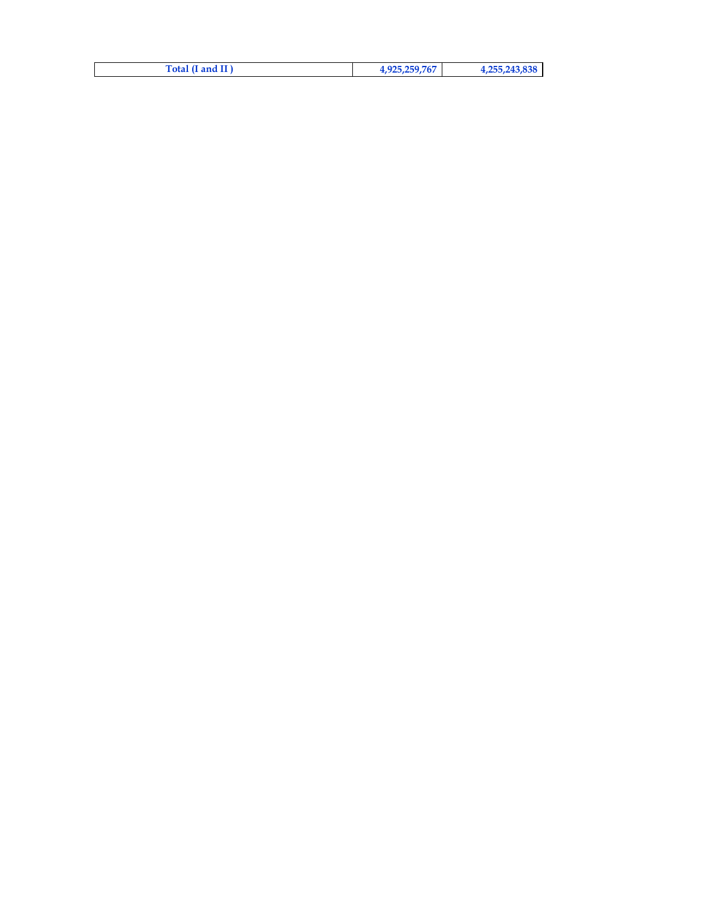| Total (I and II) | 4,925,259,767 | 4,255,243,838 |
|------------------|---------------|---------------|
|------------------|---------------|---------------|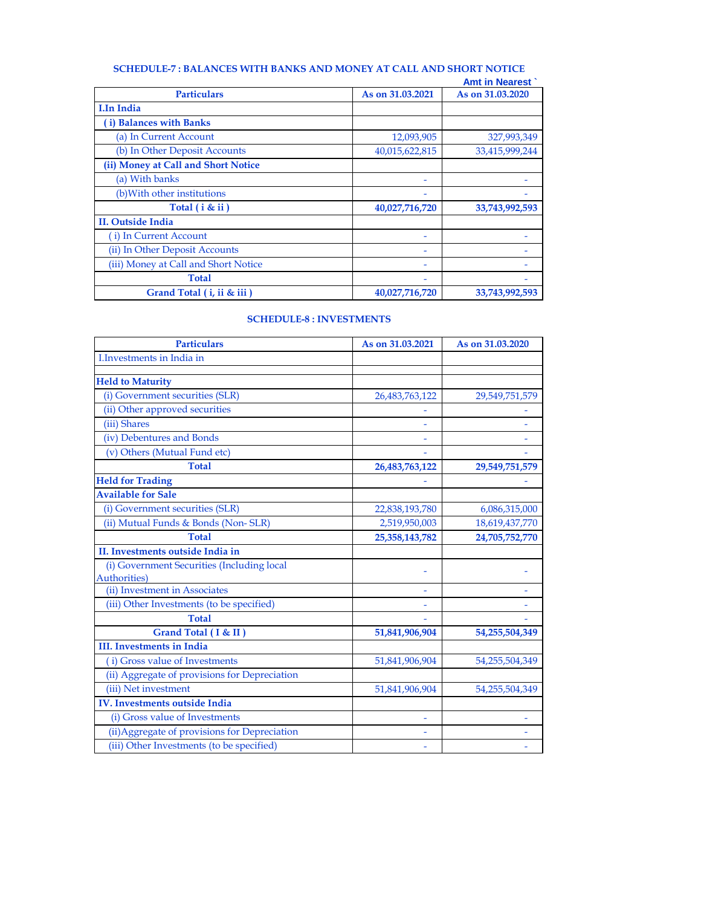## **SCHEDULE-7 : BALANCES WITH BANKS AND MONEY AT CALL AND SHORT NOTICE**

|                  | <b>Amt in Nearest</b> |
|------------------|-----------------------|
| As on 31,03,2021 | As on 31,03,2020      |
|                  |                       |
|                  |                       |
| 12,093,905       | 327,993,349           |
| 40,015,622,815   | 33,415,999,244        |
|                  |                       |
| ۰                |                       |
|                  |                       |
| 40,027,716,720   | 33,743,992,593        |
|                  |                       |
|                  |                       |
|                  |                       |
|                  |                       |
|                  |                       |
| 40,027,716,720   | 33,743,992,593        |
|                  |                       |

### **SCHEDULE-8 : INVESTMENTS**

| <b>Particulars</b>                            | As on 31.03.2021 | As on 31.03.2020 |
|-----------------------------------------------|------------------|------------------|
| <b>I.Investments in India in</b>              |                  |                  |
|                                               |                  |                  |
| <b>Held to Maturity</b>                       |                  |                  |
| (i) Government securities (SLR)               | 26,483,763,122   | 29,549,751,579   |
| (ii) Other approved securities                |                  |                  |
| (iii) Shares                                  |                  |                  |
| (iv) Debentures and Bonds                     |                  |                  |
| (v) Others (Mutual Fund etc)                  |                  |                  |
| <b>Total</b>                                  | 26,483,763,122   | 29,549,751,579   |
| <b>Held for Trading</b>                       |                  |                  |
| <b>Available for Sale</b>                     |                  |                  |
| (i) Government securities (SLR)               | 22,838,193,780   | 6,086,315,000    |
| (ii) Mutual Funds & Bonds (Non-SLR)           | 2,519,950,003    | 18,619,437,770   |
| <b>Total</b>                                  | 25,358,143,782   | 24,705,752,770   |
| II. Investments outside India in              |                  |                  |
| (i) Government Securities (Including local    |                  |                  |
| Authorities)                                  |                  |                  |
| (ii) Investment in Associates                 |                  |                  |
| (iii) Other Investments (to be specified)     |                  |                  |
| <b>Total</b>                                  |                  |                  |
| Grand Total (I & II)                          | 51,841,906,904   | 54,255,504,349   |
| <b>III.</b> Investments in India              |                  |                  |
| i) Gross value of Investments                 | 51,841,906,904   | 54,255,504,349   |
| (ii) Aggregate of provisions for Depreciation |                  |                  |
| (iii) Net investment                          | 51,841,906,904   | 54,255,504,349   |
| IV. Investments outside India                 |                  |                  |
| (i) Gross value of Investments                |                  |                  |
| (ii) Aggregate of provisions for Depreciation |                  |                  |
| (iii) Other Investments (to be specified)     |                  |                  |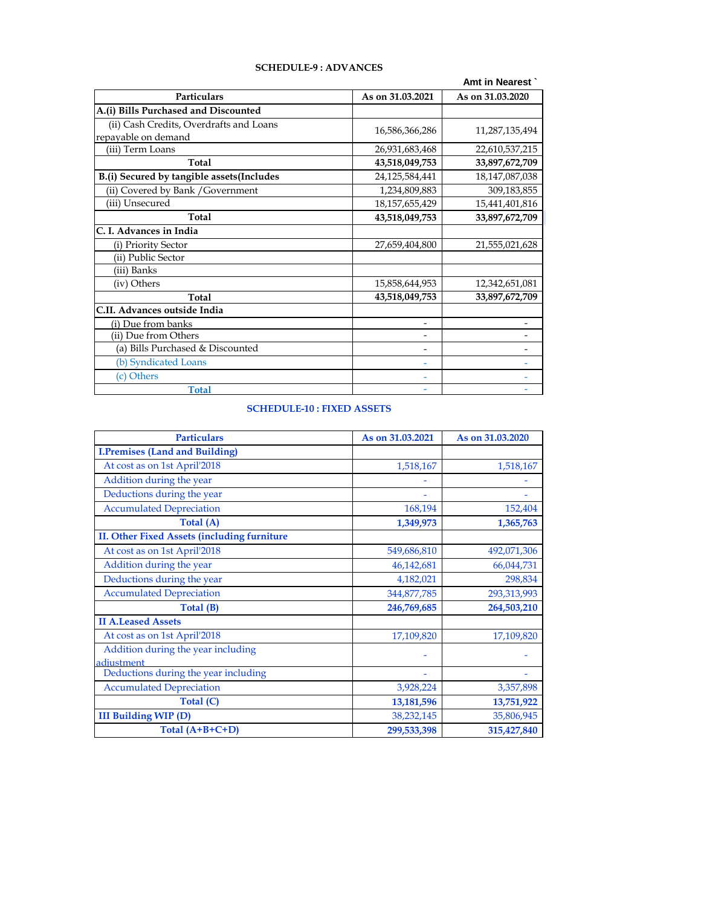|                                           |                          | Amt in Nearest    |
|-------------------------------------------|--------------------------|-------------------|
| <b>Particulars</b>                        | As on 31.03.2021         | As on 31,03,2020  |
| A.(i) Bills Purchased and Discounted      |                          |                   |
| (ii) Cash Credits, Overdrafts and Loans   | 16,586,366,286           | 11,287,135,494    |
| repayable on demand<br>(iii) Term Loans   | 26,931,683,468           | 22,610,537,215    |
| <b>Total</b>                              | 43,518,049,753           | 33,897,672,709    |
| B.(i) Secured by tangible assets(Includes | 24,125,584,441           | 18, 147, 087, 038 |
| (ii) Covered by Bank / Government         | 1,234,809,883            | 309,183,855       |
| (iii) Unsecured                           | 18, 157, 655, 429        | 15,441,401,816    |
| Total                                     | 43,518,049,753           | 33,897,672,709    |
| C. I. Advances in India                   |                          |                   |
| (i) Priority Sector                       | 27,659,404,800           | 21,555,021,628    |
| (ii) Public Sector                        |                          |                   |
| (iii) Banks                               |                          |                   |
| (iv) Others                               | 15,858,644,953           | 12,342,651,081    |
| Total                                     | 43,518,049,753           | 33,897,672,709    |
| C.II. Advances outside India              |                          |                   |
| (i) Due from banks                        | $\overline{\phantom{a}}$ |                   |
| (ii) Due from Others                      |                          |                   |
| (a) Bills Purchased & Discounted          |                          |                   |
| (b) Syndicated Loans                      |                          |                   |
| (c) Others                                |                          |                   |
| <b>Total</b>                              |                          |                   |

### **SCHEDULE-9 : ADVANCES**

### **SCHEDULE-10 : FIXED ASSETS**

| <b>Particulars</b>                                 | As on 31,03,2021 | As on 31,03,2020 |
|----------------------------------------------------|------------------|------------------|
| <b>I.Premises (Land and Building)</b>              |                  |                  |
| At cost as on 1st April'2018                       | 1,518,167        | 1,518,167        |
| Addition during the year                           |                  |                  |
| Deductions during the year                         |                  |                  |
| <b>Accumulated Depreciation</b>                    | 168,194          | 152,404          |
| Total (A)                                          | 1,349,973        | 1,365,763        |
| <b>II. Other Fixed Assets (including furniture</b> |                  |                  |
| At cost as on 1st April'2018                       | 549,686,810      | 492,071,306      |
| Addition during the year                           | 46,142,681       | 66,044,731       |
| Deductions during the year                         | 4,182,021        | 298,834          |
| <b>Accumulated Depreciation</b>                    | 344,877,785      | 293,313,993      |
| Total (B)                                          | 246,769,685      | 264,503,210      |
| <b>II A.Leased Assets</b>                          |                  |                  |
| At cost as on 1st April'2018                       | 17,109,820       | 17,109,820       |
| Addition during the year including<br>adjustment   |                  |                  |
| Deductions during the year including               |                  |                  |
| <b>Accumulated Depreciation</b>                    | 3,928,224        | 3,357,898        |
| Total (C)                                          | 13,181,596       | 13,751,922       |
| <b>III Building WIP (D)</b>                        | 38,232,145       | 35,806,945       |
| Total $(A+B+C+D)$                                  | 299,533,398      | 315,427,840      |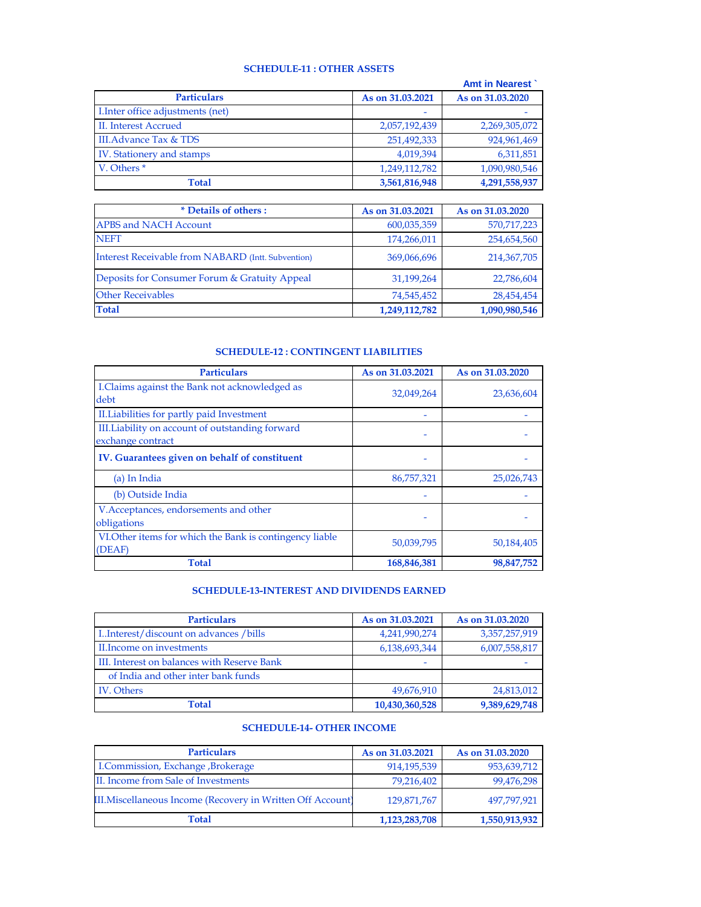#### **SCHEDULE-11 : OTHER ASSETS**

|                                   |                  | <b>Amt in Nearest</b> |
|-----------------------------------|------------------|-----------------------|
| <b>Particulars</b>                | As on 31,03,2021 | As on 31,03,2020      |
| I. Inter office adjustments (net) |                  |                       |
| II. Interest Accrued              | 2,057,192,439    | 2,269,305,072         |
| III. Advance Tax & TDS            | 251,492,333      | 924,961,469           |
| IV. Stationery and stamps         | 4,019,394        | 6,311,851             |
| V. Others <sup>*</sup>            | 1,249,112,782    | 1,090,980,546         |
| Total                             | 3,561,816,948    | 4,291,558,937         |

| * Details of others:                                      | As on 31,03,2021 | As on 31,03,2020 |
|-----------------------------------------------------------|------------------|------------------|
| <b>APBS and NACH Account</b>                              | 600,035,359      | 570,717,223      |
| <b>NEFT</b>                                               | 174,266,011      | 254,654,560      |
| <b>Interest Receivable from NABARD (Intt. Subvention)</b> | 369,066,696      | 214,367,705      |
| Deposits for Consumer Forum & Gratuity Appeal             | 31,199,264       | 22,786,604       |
| <b>Other Receivables</b>                                  | 74,545,452       | 28,454,454       |
| <b>Total</b>                                              | 1,249,112,782    | 1,090,980,546    |

### **SCHEDULE-12 : CONTINGENT LIABILITIES**

| <b>Particulars</b>                                                    | As on 31,03,2021 | As on 31,03,2020 |
|-----------------------------------------------------------------------|------------------|------------------|
| I.Claims against the Bank not acknowledged as<br>debt                 | 32,049,264       | 23,636,604       |
| II. Liabilities for partly paid Investment                            |                  |                  |
| III. Liability on account of outstanding forward<br>exchange contract |                  |                  |
| IV. Guarantees given on behalf of constituent                         |                  |                  |
| (a) In India                                                          | 86,757,321       | 25,026,743       |
| (b) Outside India                                                     |                  |                  |
| V. Acceptances, endorsements and other<br>obligations                 |                  |                  |
| VI. Other items for which the Bank is contingency liable<br>(DEAF)    | 50,039,795       | 50,184,405       |
| Total                                                                 | 168,846,381      | 98,847,752       |

#### **SCHEDULE-13-INTEREST AND DIVIDENDS EARNED**

| <b>Particulars</b>                          | As on 31,03,2021 | As on 31,03,2020 |
|---------------------------------------------|------------------|------------------|
| IInterest/discount on advances/bills        | 4,241,990,274    | 3,357,257,919    |
| II. Income on investments                   | 6,138,693,344    | 6,007,558,817    |
| III. Interest on balances with Reserve Bank |                  |                  |
| of India and other inter bank funds         |                  |                  |
| <b>IV.</b> Others                           | 49,676,910       | 24,813,012       |
| Total                                       | 10,430,360,528   | 9,389,629,748    |

### **SCHEDULE-14- OTHER INCOME**

| <b>Particulars</b>                                          | As on 31,03,2021 | As on 31,03,2020 |
|-------------------------------------------------------------|------------------|------------------|
| I.Commission, Exchange , Brokerage                          | 914,195,539      | 953,639,712      |
| II. Income from Sale of Investments                         | 79,216,402       | 99,476,298       |
| III. Miscellaneous Income (Recovery in Written Off Account) | 129,871,767      | 497.797.921      |
| <b>Total</b>                                                | 1,123,283,708    | 1,550,913,932    |